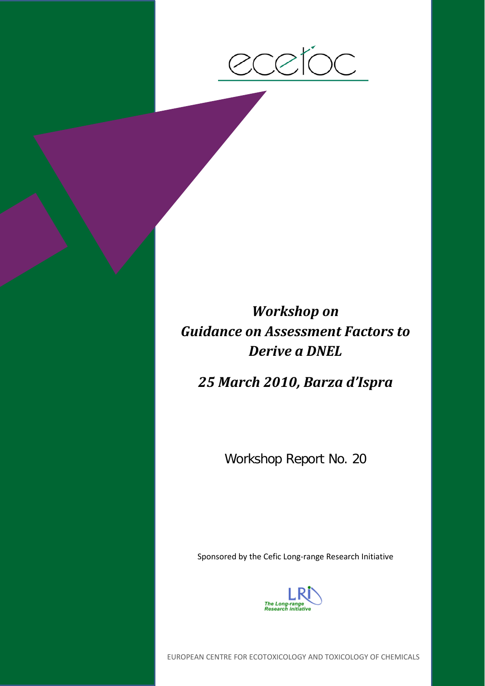

# *Workshop on Guidance on Assessment Factors to Derive a DNEL*

*25 March 2010, Barza d'Ispra*

Workshop Report No. 20

Sponsored by the Cefic Long-range Research Initiative



EUROPEAN CENTRE FOR ECOTOXICOLOGY AND TOXICOLOGY OF CHEMICALS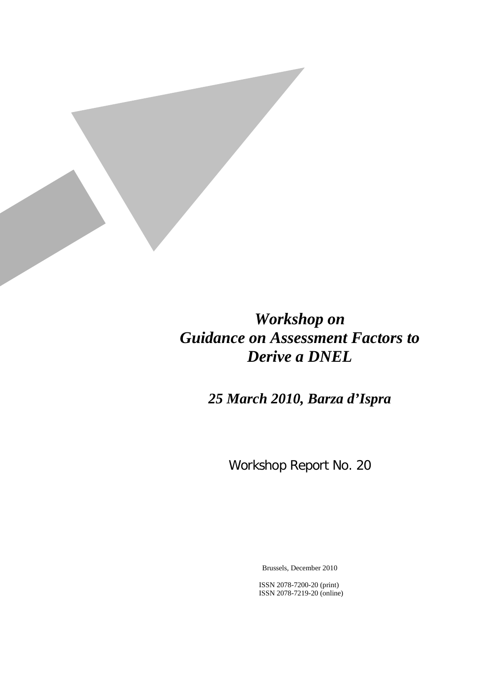

# *Workshop on Guidance on Assessment Factors to Derive a DNEL*

*25 March 2010, Barza d'Ispra*

Workshop Report No. 20

Brussels, December 2010

ISSN 2078-7200-20 (print) ISSN 2078-7219-20 (online)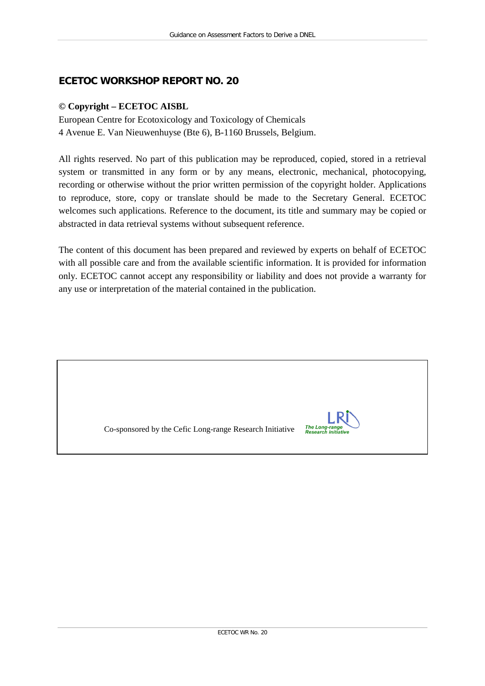# **ECETOC WORKSHOP REPORT NO. 20**

#### **© Copyright – ECETOC AISBL**

European Centre for Ecotoxicology and Toxicology of Chemicals 4 Avenue E. Van Nieuwenhuyse (Bte 6), B-1160 Brussels, Belgium.

All rights reserved. No part of this publication may be reproduced, copied, stored in a retrieval system or transmitted in any form or by any means, electronic, mechanical, photocopying, recording or otherwise without the prior written permission of the copyright holder. Applications to reproduce, store, copy or translate should be made to the Secretary General. ECETOC welcomes such applications. Reference to the document, its title and summary may be copied or abstracted in data retrieval systems without subsequent reference.

The content of this document has been prepared and reviewed by experts on behalf of ECETOC with all possible care and from the available scientific information. It is provided for information only. ECETOC cannot accept any responsibility or liability and does not provide a warranty for any use or interpretation of the material contained in the publication.

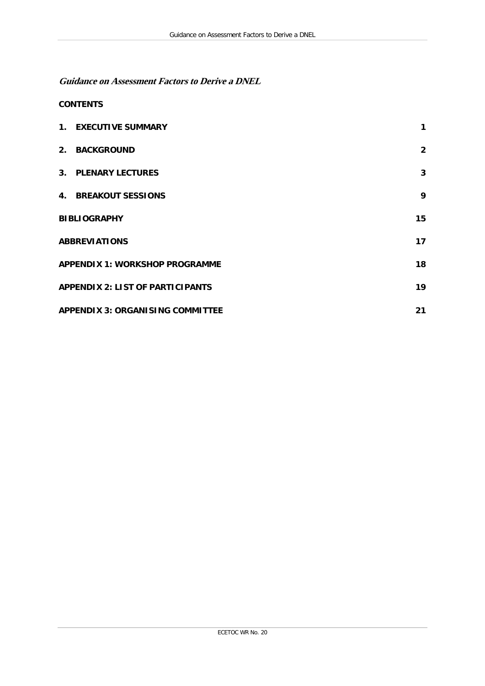**Guidance on Assessment Factors to Derive a DNEL**

#### **CONTENTS**

|                                         | 1. EXECUTIVE SUMMARY                    | 1              |  |
|-----------------------------------------|-----------------------------------------|----------------|--|
|                                         | 2. BACKGROUND                           | $\overline{2}$ |  |
|                                         | 3. PLENARY LECTURES                     | 3              |  |
|                                         | <b>4. BREAKOUT SESSIONS</b>             | 9              |  |
|                                         | <b>BIBLIOGRAPHY</b>                     | 15             |  |
| <b>ABBREVIATIONS</b>                    |                                         |                |  |
| <b>APPENDIX 1: WORKSHOP PROGRAMME</b>   |                                         |                |  |
| <b>APPENDIX 2: LIST OF PARTICIPANTS</b> |                                         |                |  |
|                                         | <b>APPENDIX 3: ORGANISING COMMITTEE</b> |                |  |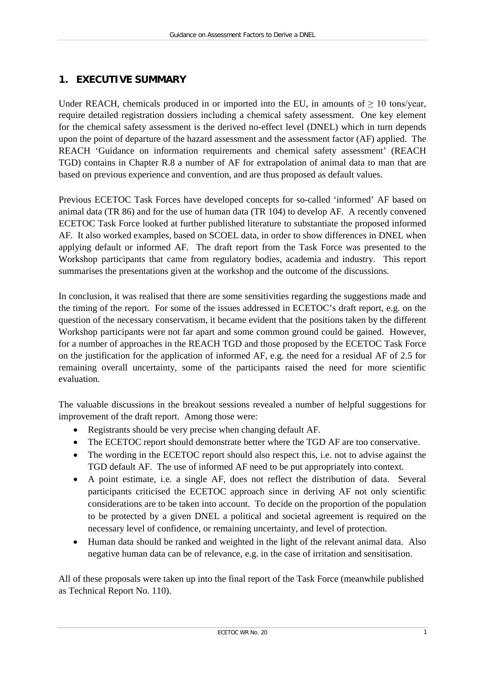# <span id="page-6-0"></span>**1. EXECUTIVE SUMMARY**

Under REACH, chemicals produced in or imported into the EU, in amounts of  $\geq 10$  tons/year, require detailed registration dossiers including a chemical safety assessment. One key element for the chemical safety assessment is the derived no-effect level (DNEL) which in turn depends upon the point of departure of the hazard assessment and the assessment factor (AF) applied. The REACH 'Guidance on information requirements and chemical safety assessment' (REACH TGD) contains in Chapter R.8 a number of AF for extrapolation of animal data to man that are based on previous experience and convention, and are thus proposed as default values.

Previous ECETOC Task Forces have developed concepts for so-called 'informed' AF based on animal data (TR 86) and for the use of human data (TR 104) to develop AF. A recently convened ECETOC Task Force looked at further published literature to substantiate the proposed informed AF. It also worked examples, based on SCOEL data, in order to show differences in DNEL when applying default or informed AF. The draft report from the Task Force was presented to the Workshop participants that came from regulatory bodies, academia and industry. This report summarises the presentations given at the workshop and the outcome of the discussions.

In conclusion, it was realised that there are some sensitivities regarding the suggestions made and the timing of the report. For some of the issues addressed in ECETOC's draft report, e.g. on the question of the necessary conservatism, it became evident that the positions taken by the different Workshop participants were not far apart and some common ground could be gained. However, for a number of approaches in the REACH TGD and those proposed by the ECETOC Task Force on the justification for the application of informed AF, e.g. the need for a residual AF of 2.5 for remaining overall uncertainty, some of the participants raised the need for more scientific evaluation.

The valuable discussions in the breakout sessions revealed a number of helpful suggestions for improvement of the draft report. Among those were:

- Registrants should be very precise when changing default AF.
- The ECETOC report should demonstrate better where the TGD AF are too conservative.
- The wording in the ECETOC report should also respect this, i.e. not to advise against the TGD default AF. The use of informed AF need to be put appropriately into context.
- A point estimate, i.e. a single AF, does not reflect the distribution of data. Several participants criticised the ECETOC approach since in deriving AF not only scientific considerations are to be taken into account. To decide on the proportion of the population to be protected by a given DNEL a political and societal agreement is required on the necessary level of confidence, or remaining uncertainty, and level of protection.
- Human data should be ranked and weighted in the light of the relevant animal data. Also negative human data can be of relevance, e.g. in the case of irritation and sensitisation.

All of these proposals were taken up into the final report of the Task Force (meanwhile published as Technical Report No. 110).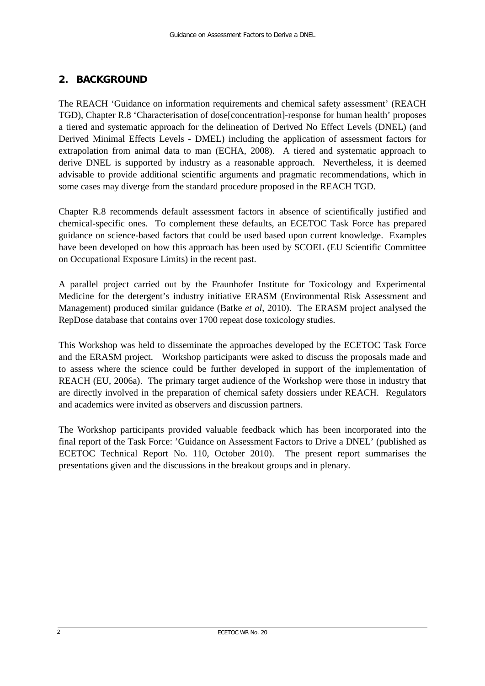# <span id="page-7-0"></span>**2. BACKGROUND**

The REACH 'Guidance on information requirements and chemical safety assessment' (REACH TGD), Chapter R.8 'Characterisation of dose[concentration]-response for human health' proposes a tiered and systematic approach for the delineation of Derived No Effect Levels (DNEL) (and Derived Minimal Effects Levels - DMEL) including the application of assessment factors for extrapolation from animal data to man (ECHA, 2008). A tiered and systematic approach to derive DNEL is supported by industry as a reasonable approach. Nevertheless, it is deemed advisable to provide additional scientific arguments and pragmatic recommendations, which in some cases may diverge from the standard procedure proposed in the REACH TGD.

Chapter R.8 recommends default assessment factors in absence of scientifically justified and chemical-specific ones. To complement these defaults, an ECETOC Task Force has prepared guidance on science-based factors that could be used based upon current knowledge. Examples have been developed on how this approach has been used by SCOEL (EU Scientific Committee on Occupational Exposure Limits) in the recent past.

A parallel project carried out by the Fraunhofer Institute for Toxicology and Experimental Medicine for the detergent's industry initiative ERASM (Environmental Risk Assessment and Management) produced similar guidance (Batke *et al*, 2010). The ERASM project analysed the RepDose database that contains over 1700 repeat dose toxicology studies.

This Workshop was held to disseminate the approaches developed by the ECETOC Task Force and the ERASM project. Workshop participants were asked to discuss the proposals made and to assess where the science could be further developed in support of the implementation of REACH (EU, 2006a). The primary target audience of the Workshop were those in industry that are directly involved in the preparation of chemical safety dossiers under REACH. Regulators and academics were invited as observers and discussion partners.

The Workshop participants provided valuable feedback which has been incorporated into the final report of the Task Force: 'Guidance on Assessment Factors to Drive a DNEL' (published as ECETOC Technical Report No. 110, October 2010). The present report summarises the presentations given and the discussions in the breakout groups and in plenary.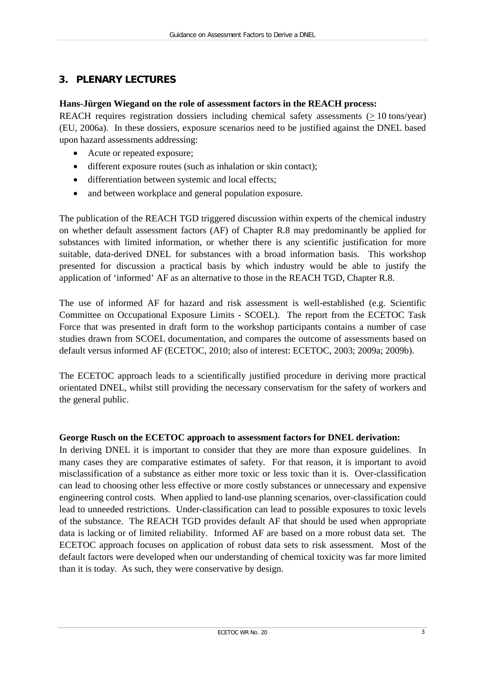# <span id="page-8-0"></span>**3. PLENARY LECTURES**

#### **Hans-Jürgen Wiegand on the role of assessment factors in the REACH process:**

REACH requires registration dossiers including chemical safety assessments  $( \geq 10 \text{ tons/year})$ (EU, 2006a). In these dossiers, exposure scenarios need to be justified against the DNEL based upon hazard assessments addressing:

- Acute or repeated exposure;
- different exposure routes (such as inhalation or skin contact);
- differentiation between systemic and local effects;
- and between workplace and general population exposure.

The publication of the REACH TGD triggered discussion within experts of the chemical industry on whether default assessment factors (AF) of Chapter R.8 may predominantly be applied for substances with limited information, or whether there is any scientific justification for more suitable, data-derived DNEL for substances with a broad information basis. This workshop presented for discussion a practical basis by which industry would be able to justify the application of 'informed' AF as an alternative to those in the REACH TGD, Chapter R.8.

The use of informed AF for hazard and risk assessment is well-established (e.g. Scientific Committee on Occupational Exposure Limits - SCOEL). The report from the ECETOC Task Force that was presented in draft form to the workshop participants contains a number of case studies drawn from SCOEL documentation, and compares the outcome of assessments based on default versus informed AF (ECETOC, 2010; also of interest: ECETOC, 2003; 2009a; 2009b).

The ECETOC approach leads to a scientifically justified procedure in deriving more practical orientated DNEL, whilst still providing the necessary conservatism for the safety of workers and the general public.

### **George Rusch on the ECETOC approach to assessment factors for DNEL derivation:**

In deriving DNEL it is important to consider that they are more than exposure guidelines. In many cases they are comparative estimates of safety. For that reason, it is important to avoid misclassification of a substance as either more toxic or less toxic than it is. Over-classification can lead to choosing other less effective or more costly substances or unnecessary and expensive engineering control costs. When applied to land-use planning scenarios, over-classification could lead to unneeded restrictions. Under-classification can lead to possible exposures to toxic levels of the substance. The REACH TGD provides default AF that should be used when appropriate data is lacking or of limited reliability. Informed AF are based on a more robust data set. The ECETOC approach focuses on application of robust data sets to risk assessment. Most of the default factors were developed when our understanding of chemical toxicity was far more limited than it is today. As such, they were conservative by design.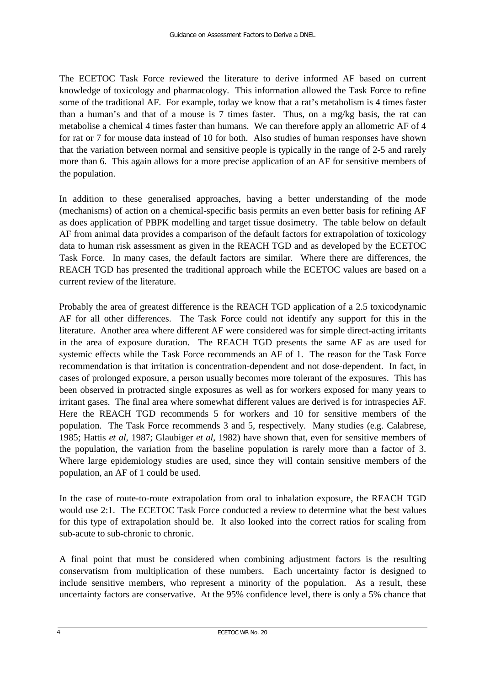The ECETOC Task Force reviewed the literature to derive informed AF based on current knowledge of toxicology and pharmacology. This information allowed the Task Force to refine some of the traditional AF. For example, today we know that a rat's metabolism is 4 times faster than a human's and that of a mouse is 7 times faster. Thus, on a mg/kg basis, the rat can metabolise a chemical 4 times faster than humans. We can therefore apply an allometric AF of 4 for rat or 7 for mouse data instead of 10 for both. Also studies of human responses have shown that the variation between normal and sensitive people is typically in the range of 2-5 and rarely more than 6. This again allows for a more precise application of an AF for sensitive members of the population.

In addition to these generalised approaches, having a better understanding of the mode (mechanisms) of action on a chemical-specific basis permits an even better basis for refining AF as does application of PBPK modelling and target tissue dosimetry. The table below on default AF from animal data provides a comparison of the default factors for extrapolation of toxicology data to human risk assessment as given in the REACH TGD and as developed by the ECETOC Task Force. In many cases, the default factors are similar. Where there are differences, the REACH TGD has presented the traditional approach while the ECETOC values are based on a current review of the literature.

Probably the area of greatest difference is the REACH TGD application of a 2.5 toxicodynamic AF for all other differences. The Task Force could not identify any support for this in the literature. Another area where different AF were considered was for simple direct-acting irritants in the area of exposure duration. The REACH TGD presents the same AF as are used for systemic effects while the Task Force recommends an AF of 1. The reason for the Task Force recommendation is that irritation is concentration-dependent and not dose-dependent. In fact, in cases of prolonged exposure, a person usually becomes more tolerant of the exposures. This has been observed in protracted single exposures as well as for workers exposed for many years to irritant gases. The final area where somewhat different values are derived is for intraspecies AF. Here the REACH TGD recommends 5 for workers and 10 for sensitive members of the population. The Task Force recommends 3 and 5, respectively. Many studies (e.g. Calabrese, 1985; Hattis *et al*, 1987; Glaubiger *et al*, 1982) have shown that, even for sensitive members of the population, the variation from the baseline population is rarely more than a factor of 3. Where large epidemiology studies are used, since they will contain sensitive members of the population, an AF of 1 could be used.

In the case of route-to-route extrapolation from oral to inhalation exposure, the REACH TGD would use 2:1. The ECETOC Task Force conducted a review to determine what the best values for this type of extrapolation should be. It also looked into the correct ratios for scaling from sub-acute to sub-chronic to chronic.

A final point that must be considered when combining adjustment factors is the resulting conservatism from multiplication of these numbers. Each uncertainty factor is designed to include sensitive members, who represent a minority of the population. As a result, these uncertainty factors are conservative. At the 95% confidence level, there is only a 5% chance that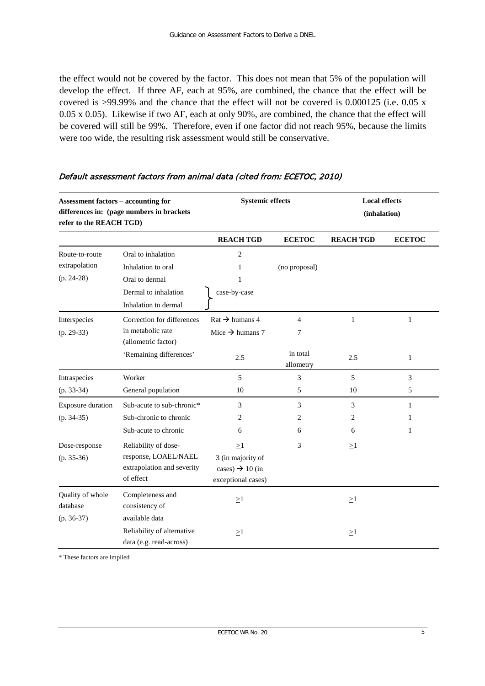the effect would not be covered by the factor. This does not mean that 5% of the population will develop the effect. If three AF, each at 95%, are combined, the chance that the effect will be covered is >99.99% and the chance that the effect will not be covered is 0.000125 (i.e. 0.05 x 0.05 x 0.05). Likewise if two AF, each at only 90%, are combined, the chance that the effect will be covered will still be 99%. Therefore, even if one factor did not reach 95%, because the limits were too wide, the resulting risk assessment would still be conservative.

| <b>Assessment factors - accounting for</b><br>differences in: (page numbers in brackets<br>refer to the REACH TGD) |                                                                                         | <b>Systemic effects</b>                                                            |                       | <b>Local effects</b><br>(inhalation) |                   |
|--------------------------------------------------------------------------------------------------------------------|-----------------------------------------------------------------------------------------|------------------------------------------------------------------------------------|-----------------------|--------------------------------------|-------------------|
|                                                                                                                    |                                                                                         | <b>REACH TGD</b>                                                                   | <b>ECETOC</b>         | <b>REACH TGD</b>                     | <b>ECETOC</b>     |
| Route-to-route<br>extrapolation                                                                                    | Oral to inhalation<br>Inhalation to oral                                                | $\overline{c}$<br>1                                                                | (no proposal)         |                                      |                   |
| $(p. 24-28)$                                                                                                       | Oral to dermal                                                                          | 1                                                                                  |                       |                                      |                   |
|                                                                                                                    | Dermal to inhalation<br>Inhalation to dermal                                            | case-by-case                                                                       |                       |                                      |                   |
| Interspecies<br>$(p. 29-33)$                                                                                       | Correction for differences<br>in metabolic rate<br>(allometric factor)                  | $\text{Rat} \rightarrow \text{human} 4$<br>Mice $\rightarrow$ humans 7             | $\overline{4}$<br>7   | 1                                    | $\mathbf{1}$      |
|                                                                                                                    | 'Remaining differences'                                                                 | 2.5                                                                                | in total<br>allometry | 2.5                                  | $\mathbf{1}$      |
| Intraspecies                                                                                                       | Worker                                                                                  | 5                                                                                  | 3                     | 5                                    | 3                 |
| $(p. 33-34)$                                                                                                       | General population                                                                      | 10                                                                                 | 5                     | 10                                   | 5                 |
| Exposure duration                                                                                                  | Sub-acute to sub-chronic*                                                               | 3                                                                                  | 3                     | 3                                    | 1                 |
| $(p. 34-35)$                                                                                                       | Sub-chronic to chronic<br>Sub-acute to chronic                                          | 2<br>6                                                                             | 2<br>6                | 2<br>6                               | 1<br>$\mathbf{1}$ |
| Dose-response<br>$(p. 35-36)$                                                                                      | Reliability of dose-<br>response, LOAEL/NAEL<br>extrapolation and severity<br>of effect | $\geq$ 1<br>3 (in majority of<br>cases) $\rightarrow$ 10 (in<br>exceptional cases) | 3                     | $\geq$ 1                             |                   |
| Quality of whole<br>database<br>$(p. 36-37)$                                                                       | Completeness and<br>consistency of<br>available data                                    | $\geq$ 1                                                                           |                       | $\geq$ 1                             |                   |
|                                                                                                                    | Reliability of alternative<br>data (e.g. read-across)                                   | $\geq$ 1                                                                           |                       | $\geq$ 1                             |                   |

#### Default assessment factors from animal data (cited from: ECETOC, 2010)

\* These factors are implied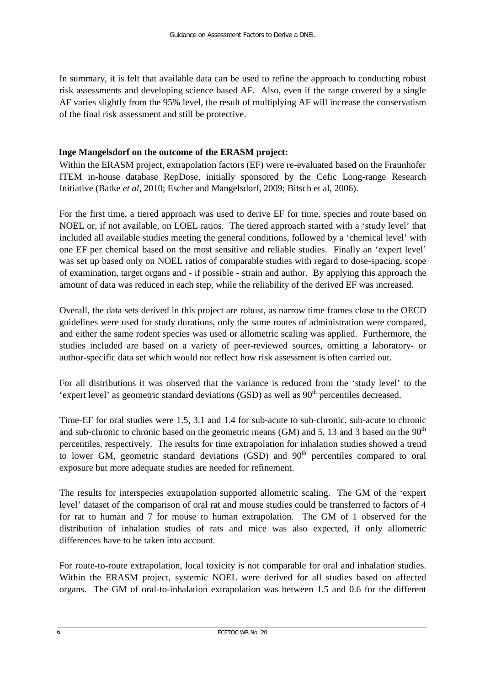In summary, it is felt that available data can be used to refine the approach to conducting robust risk assessments and developing science based AF. Also, even if the range covered by a single AF varies slightly from the 95% level, the result of multiplying AF will increase the conservatism of the final risk assessment and still be protective.

## **Inge Mangelsdorf on the outcome of the ERASM project:**

Within the ERASM project, extrapolation factors (EF) were re-evaluated based on the Fraunhofer ITEM in-house database RepDose, initially sponsored by the Cefic Long-range Research Initiative (Batke *et al*, 2010; Escher and Mangelsdorf, 2009; Bitsch et al, 2006).

For the first time, a tiered approach was used to derive EF for time, species and route based on NOEL or, if not available, on LOEL ratios. The tiered approach started with a 'study level' that included all available studies meeting the general conditions, followed by a 'chemical level' with one EF per chemical based on the most sensitive and reliable studies. Finally an 'expert level' was set up based only on NOEL ratios of comparable studies with regard to dose-spacing, scope of examination, target organs and - if possible - strain and author. By applying this approach the amount of data was reduced in each step, while the reliability of the derived EF was increased.

Overall, the data sets derived in this project are robust, as narrow time frames close to the OECD guidelines were used for study durations, only the same routes of administration were compared, and either the same rodent species was used or allometric scaling was applied. Furthermore, the studies included are based on a variety of peer-reviewed sources, omitting a laboratory- or author-specific data set which would not reflect how risk assessment is often carried out.

For all distributions it was observed that the variance is reduced from the 'study level' to the 'expert level' as geometric standard deviations  $(GSD)$  as well as  $90<sup>th</sup>$  percentiles decreased.

Time-EF for oral studies were 1.5, 3.1 and 1.4 for sub-acute to sub-chronic, sub-acute to chronic and sub-chronic to chronic based on the geometric means (GM) and 5, 13 and 3 based on the  $90<sup>th</sup>$ percentiles, respectively. The results for time extrapolation for inhalation studies showed a trend to lower GM, geometric standard deviations  $(GSD)$  and  $90<sup>th</sup>$  percentiles compared to oral exposure but more adequate studies are needed for refinement.

The results for interspecies extrapolation supported allometric scaling. The GM of the 'expert level' dataset of the comparison of oral rat and mouse studies could be transferred to factors of 4 for rat to human and 7 for mouse to human extrapolation. The GM of 1 observed for the distribution of inhalation studies of rats and mice was also expected, if only allometric differences have to be taken into account.

For route-to-route extrapolation, local toxicity is not comparable for oral and inhalation studies. Within the ERASM project, systemic NOEL were derived for all studies based on affected organs. The GM of oral-to-inhalation extrapolation was between 1.5 and 0.6 for the different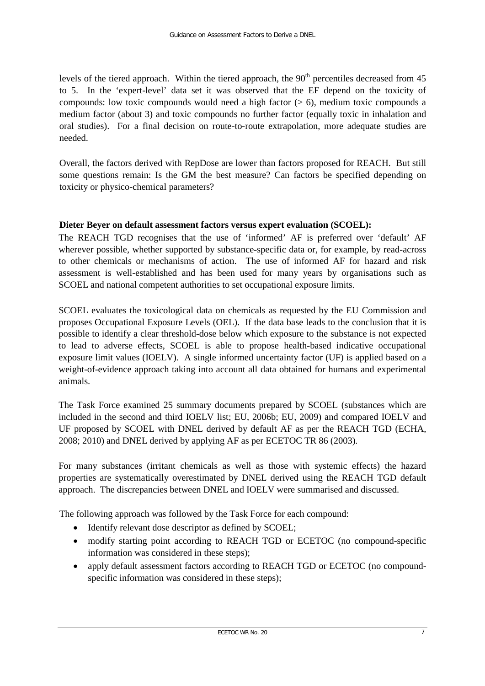levels of the tiered approach. Within the tiered approach, the  $90<sup>th</sup>$  percentiles decreased from 45 to 5. In the 'expert-level' data set it was observed that the EF depend on the toxicity of compounds: low toxic compounds would need a high factor  $(> 6)$ , medium toxic compounds a medium factor (about 3) and toxic compounds no further factor (equally toxic in inhalation and oral studies). For a final decision on route-to-route extrapolation, more adequate studies are needed.

Overall, the factors derived with RepDose are lower than factors proposed for REACH. But still some questions remain: Is the GM the best measure? Can factors be specified depending on toxicity or physico-chemical parameters?

### **Dieter Beyer on default assessment factors versus expert evaluation (SCOEL):**

The REACH TGD recognises that the use of 'informed' AF is preferred over 'default' AF wherever possible, whether supported by substance-specific data or, for example, by read-across to other chemicals or mechanisms of action. The use of informed AF for hazard and risk assessment is well-established and has been used for many years by organisations such as SCOEL and national competent authorities to set occupational exposure limits.

SCOEL evaluates the toxicological data on chemicals as requested by the EU Commission and proposes Occupational Exposure Levels (OEL). If the data base leads to the conclusion that it is possible to identify a clear threshold-dose below which exposure to the substance is not expected to lead to adverse effects, SCOEL is able to propose health-based indicative occupational exposure limit values (IOELV). A single informed uncertainty factor (UF) is applied based on a weight-of-evidence approach taking into account all data obtained for humans and experimental animals.

The Task Force examined 25 summary documents prepared by SCOEL (substances which are included in the second and third IOELV list; EU, 2006b; EU, 2009) and compared IOELV and UF proposed by SCOEL with DNEL derived by default AF as per the REACH TGD (ECHA, 2008; 2010) and DNEL derived by applying AF as per ECETOC TR 86 (2003).

For many substances (irritant chemicals as well as those with systemic effects) the hazard properties are systematically overestimated by DNEL derived using the REACH TGD default approach. The discrepancies between DNEL and IOELV were summarised and discussed.

The following approach was followed by the Task Force for each compound:

- Identify relevant dose descriptor as defined by SCOEL;
- modify starting point according to REACH TGD or ECETOC (no compound-specific information was considered in these steps);
- apply default assessment factors according to REACH TGD or ECETOC (no compoundspecific information was considered in these steps);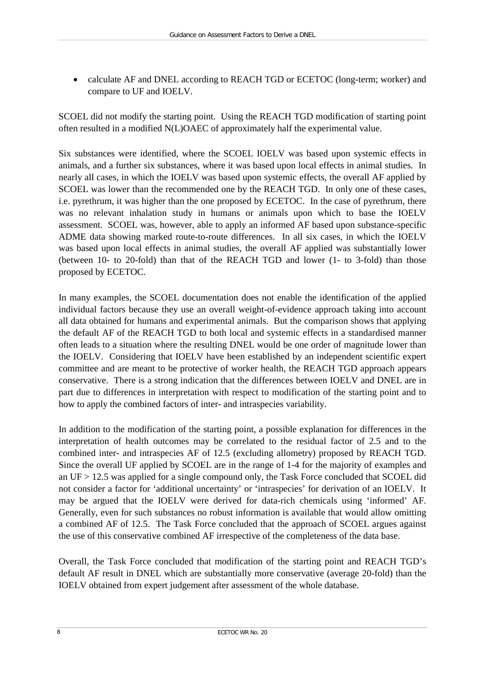• calculate AF and DNEL according to REACH TGD or ECETOC (long-term; worker) and compare to UF and IOELV.

SCOEL did not modify the starting point. Using the REACH TGD modification of starting point often resulted in a modified N(L)OAEC of approximately half the experimental value.

Six substances were identified, where the SCOEL IOELV was based upon systemic effects in animals, and a further six substances, where it was based upon local effects in animal studies. In nearly all cases, in which the IOELV was based upon systemic effects, the overall AF applied by SCOEL was lower than the recommended one by the REACH TGD. In only one of these cases, i.e. pyrethrum, it was higher than the one proposed by ECETOC. In the case of pyrethrum, there was no relevant inhalation study in humans or animals upon which to base the IOELV assessment. SCOEL was, however, able to apply an informed AF based upon substance-specific ADME data showing marked route-to-route differences. In all six cases, in which the IOELV was based upon local effects in animal studies, the overall AF applied was substantially lower (between 10- to 20-fold) than that of the REACH TGD and lower (1- to 3-fold) than those proposed by ECETOC.

In many examples, the SCOEL documentation does not enable the identification of the applied individual factors because they use an overall weight-of-evidence approach taking into account all data obtained for humans and experimental animals. But the comparison shows that applying the default AF of the REACH TGD to both local and systemic effects in a standardised manner often leads to a situation where the resulting DNEL would be one order of magnitude lower than the IOELV. Considering that IOELV have been established by an independent scientific expert committee and are meant to be protective of worker health, the REACH TGD approach appears conservative. There is a strong indication that the differences between IOELV and DNEL are in part due to differences in interpretation with respect to modification of the starting point and to how to apply the combined factors of inter- and intraspecies variability.

In addition to the modification of the starting point, a possible explanation for differences in the interpretation of health outcomes may be correlated to the residual factor of 2.5 and to the combined inter- and intraspecies AF of 12.5 (excluding allometry) proposed by REACH TGD. Since the overall UF applied by SCOEL are in the range of 1-4 for the majority of examples and an UF > 12.5 was applied for a single compound only, the Task Force concluded that SCOEL did not consider a factor for 'additional uncertainty' or 'intraspecies' for derivation of an IOELV. It may be argued that the IOELV were derived for data-rich chemicals using 'informed' AF. Generally, even for such substances no robust information is available that would allow omitting a combined AF of 12.5. The Task Force concluded that the approach of SCOEL argues against the use of this conservative combined AF irrespective of the completeness of the data base.

Overall, the Task Force concluded that modification of the starting point and REACH TGD's default AF result in DNEL which are substantially more conservative (average 20-fold) than the IOELV obtained from expert judgement after assessment of the whole database.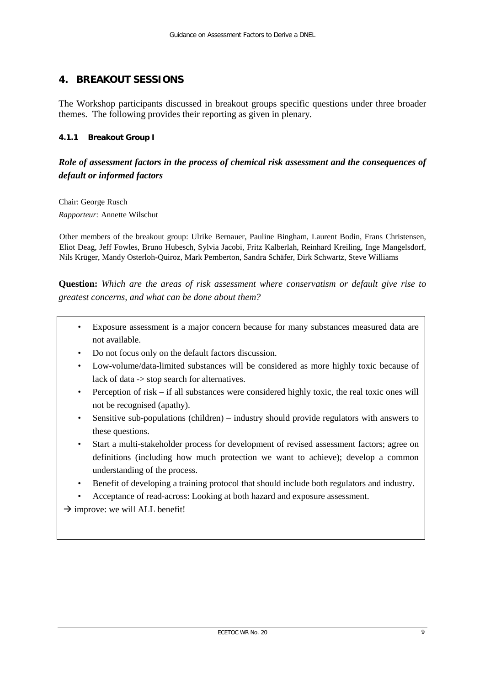# <span id="page-14-0"></span>**4. BREAKOUT SESSIONS**

The Workshop participants discussed in breakout groups specific questions under three broader themes. The following provides their reporting as given in plenary.

#### **4.1.1 Breakout Group I**

## *Role of assessment factors in the process of chemical risk assessment and the consequences of default or informed factors*

Chair: George Rusch *Rapporteur:* Annette Wilschut

Other members of the breakout group: Ulrike Bernauer, Pauline Bingham, Laurent Bodin, Frans Christensen, Eliot Deag, Jeff Fowles, Bruno Hubesch, Sylvia Jacobi, Fritz Kalberlah, Reinhard Kreiling, Inge Mangelsdorf, Nils Krüger, Mandy Osterloh-Quiroz, Mark Pemberton, Sandra Schäfer, Dirk Schwartz, Steve Williams

**Question:** *Which are the areas of risk assessment where conservatism or default give rise to greatest concerns, and what can be done about them?*

- Exposure assessment is a major concern because for many substances measured data are not available.
- Do not focus only on the default factors discussion.
- Low-volume/data-limited substances will be considered as more highly toxic because of lack of data -> stop search for alternatives.
- Perception of risk if all substances were considered highly toxic, the real toxic ones will not be recognised (apathy).
- Sensitive sub-populations (children) industry should provide regulators with answers to these questions.
- Start a multi-stakeholder process for development of revised assessment factors; agree on definitions (including how much protection we want to achieve); develop a common understanding of the process.
- Benefit of developing a training protocol that should include both regulators and industry.
- Acceptance of read-across: Looking at both hazard and exposure assessment.

 $\rightarrow$  improve: we will ALL benefit!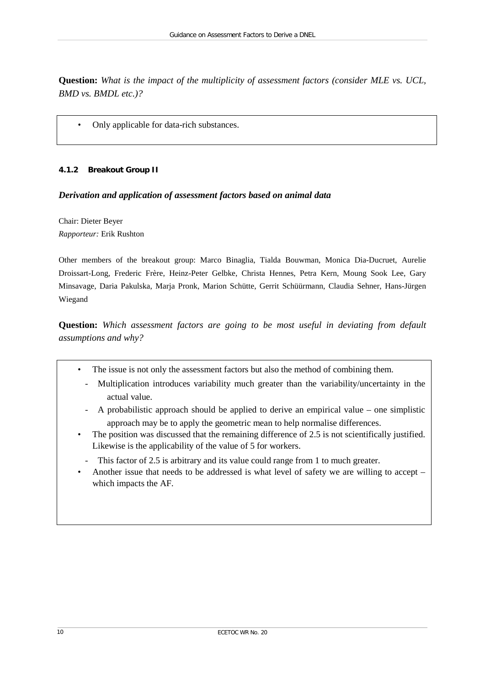**Question:** *What is the impact of the multiplicity of assessment factors (consider MLE vs. UCL, BMD vs. BMDL etc.)?*

• Only applicable for data-rich substances.

#### **4.1.2 Breakout Group II**

#### *Derivation and application of assessment factors based on animal data*

Chair: Dieter Beyer *Rapporteur:* Erik Rushton

Other members of the breakout group: Marco Binaglia, Tialda Bouwman, Monica Dia-Ducruet, Aurelie Droissart-Long, Frederic Frère, Heinz-Peter Gelbke, Christa Hennes, Petra Kern, Moung Sook Lee, Gary Minsavage, Daria Pakulska, Marja Pronk, Marion Schütte, Gerrit Schüürmann, Claudia Sehner, Hans-Jürgen Wiegand

**Question:** *Which assessment factors are going to be most useful in deviating from default assumptions and why?*

- The issue is not only the assessment factors but also the method of combining them.
	- Multiplication introduces variability much greater than the variability/uncertainty in the actual value.
	- A probabilistic approach should be applied to derive an empirical value one simplistic approach may be to apply the geometric mean to help normalise differences.
- The position was discussed that the remaining difference of 2.5 is not scientifically justified. Likewise is the applicability of the value of 5 for workers.
- This factor of 2.5 is arbitrary and its value could range from 1 to much greater.
- Another issue that needs to be addressed is what level of safety we are willing to accept which impacts the AF.

•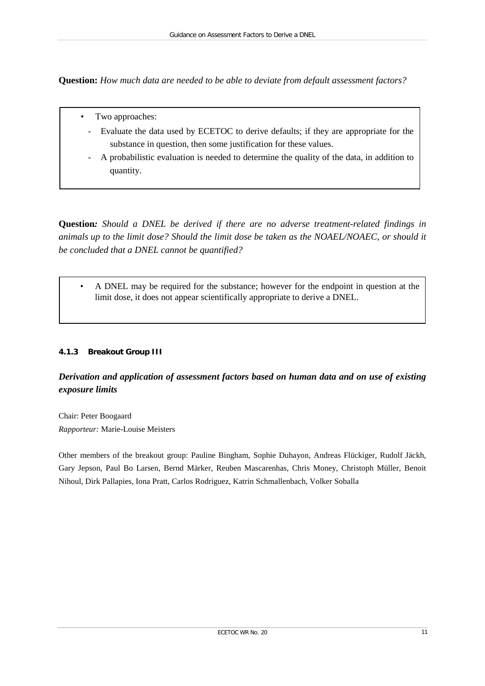**Question:** *How much data are needed to be able to deviate from default assessment factors?*

- Two approaches:
	- Evaluate the data used by ECETOC to derive defaults; if they are appropriate for the substance in question, then some justification for these values.
	- A probabilistic evaluation is needed to determine the quality of the data, in addition to quantity.

**Question***: Should a DNEL be derived if there are no adverse treatment-related findings in animals up to the limit dose? Should the limit dose be taken as the NOAEL/NOAEC, or should it be concluded that a DNEL cannot be quantified?* 

• A DNEL may be required for the substance; however for the endpoint in question at the limit dose, it does not appear scientifically appropriate to derive a DNEL.

#### **4.1.3 Breakout Group III**

# *Derivation and application of assessment factors based on human data and on use of existing exposure limits*

Chair: Peter Boogaard *Rapporteur:* Marie-Louise Meisters

Other members of the breakout group: Pauline Bingham, Sophie Duhayon, Andreas Flückiger, Rudolf Jäckh, Gary Jepson, Paul Bo Larsen, Bernd Märker, Reuben Mascarenhas, Chris Money, Christoph Müller, Benoit Nihoul, Dirk Pallapies, Iona Pratt, Carlos Rodriguez, Katrin Schmallenbach, Volker Soballa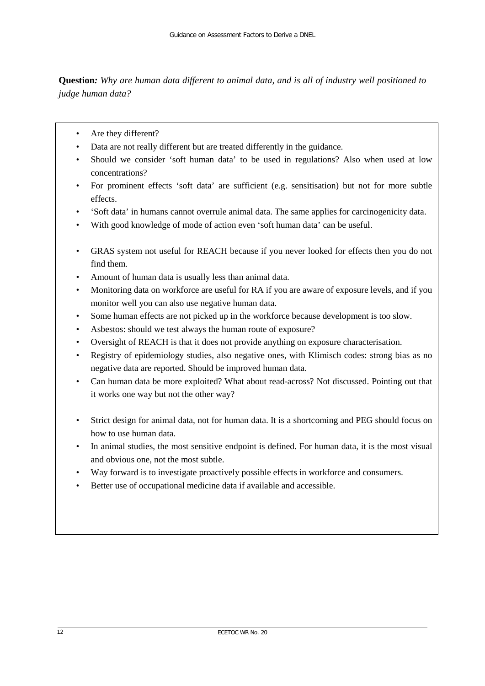**Question***: Why are human data different to animal data, and is all of industry well positioned to judge human data?*

- Are they different?
- Data are not really different but are treated differently in the guidance.
- Should we consider 'soft human data' to be used in regulations? Also when used at low concentrations?
- For prominent effects 'soft data' are sufficient (e.g. sensitisation) but not for more subtle effects.
- 'Soft data' in humans cannot overrule animal data. The same applies for carcinogenicity data.
- With good knowledge of mode of action even 'soft human data' can be useful.
- GRAS system not useful for REACH because if you never looked for effects then you do not find them.
- Amount of human data is usually less than animal data.
- Monitoring data on workforce are useful for RA if you are aware of exposure levels, and if you monitor well you can also use negative human data.
- Some human effects are not picked up in the workforce because development is too slow.
- Asbestos: should we test always the human route of exposure?
- Oversight of REACH is that it does not provide anything on exposure characterisation.
- Registry of epidemiology studies, also negative ones, with Klimisch codes: strong bias as no negative data are reported. Should be improved human data.
- Can human data be more exploited? What about read-across? Not discussed. Pointing out that it works one way but not the other way?
- Strict design for animal data, not for human data. It is a shortcoming and PEG should focus on how to use human data.
- In animal studies, the most sensitive endpoint is defined. For human data, it is the most visual and obvious one, not the most subtle.
- Way forward is to investigate proactively possible effects in workforce and consumers.
- Better use of occupational medicine data if available and accessible.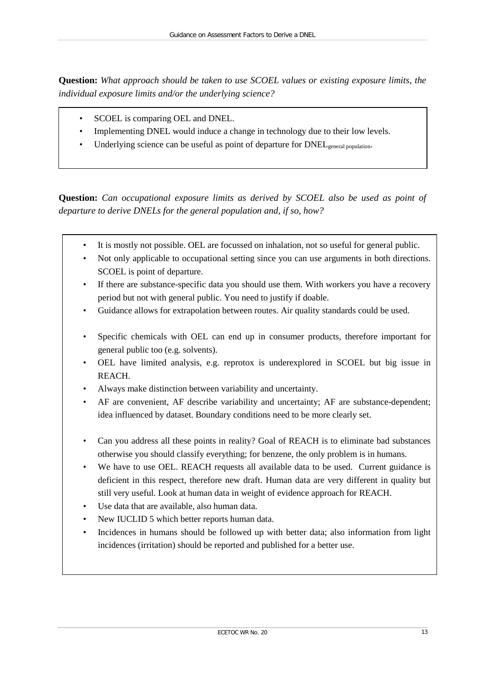**Question:** *What approach should be taken to use SCOEL values or existing exposure limits, the individual exposure limits and/or the underlying science?*

- SCOEL is comparing OEL and DNEL.
- Implementing DNEL would induce a change in technology due to their low levels.
- Underlying science can be useful as point of departure for  $DNEL_{general$  population.

**Question:** *Can occupational exposure limits as derived by SCOEL also be used as point of departure to derive DNELs for the general population and, if so, how?*

- It is mostly not possible. OEL are focussed on inhalation, not so useful for general public.
- Not only applicable to occupational setting since you can use arguments in both directions. SCOEL is point of departure.
- If there are substance-specific data you should use them. With workers you have a recovery period but not with general public. You need to justify if doable.
- Guidance allows for extrapolation between routes. Air quality standards could be used.
- Specific chemicals with OEL can end up in consumer products, therefore important for general public too (e.g. solvents).
- OEL have limited analysis, e.g. reprotox is underexplored in SCOEL but big issue in REACH.
- Always make distinction between variability and uncertainty.
- AF are convenient, AF describe variability and uncertainty; AF are substance-dependent; idea influenced by dataset. Boundary conditions need to be more clearly set.
- Can you address all these points in reality? Goal of REACH is to eliminate bad substances otherwise you should classify everything; for benzene, the only problem is in humans.
- We have to use OEL. REACH requests all available data to be used. Current guidance is deficient in this respect, therefore new draft. Human data are very different in quality but still very useful. Look at human data in weight of evidence approach for REACH.
- Use data that are available, also human data.
- New IUCLID 5 which better reports human data.
- Incidences in humans should be followed up with better data; also information from light incidences (irritation) should be reported and published for a better use.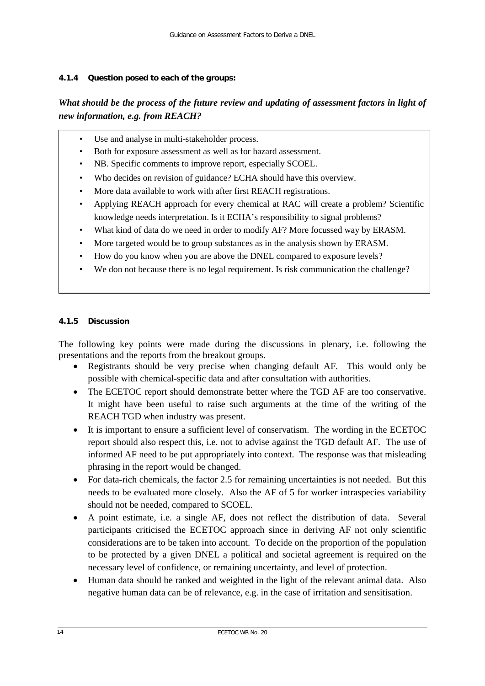#### **4.1.4 Question posed to each of the groups:**

# *What should be the process of the future review and updating of assessment factors in light of new information, e.g. from REACH?*

- Use and analyse in multi-stakeholder process.
- Both for exposure assessment as well as for hazard assessment.
- NB. Specific comments to improve report, especially SCOEL.
- Who decides on revision of guidance? ECHA should have this overview.
- More data available to work with after first REACH registrations.
- Applying REACH approach for every chemical at RAC will create a problem? Scientific knowledge needs interpretation. Is it ECHA's responsibility to signal problems?
- What kind of data do we need in order to modify AF? More focussed way by ERASM.
- More targeted would be to group substances as in the analysis shown by ERASM.
- How do you know when you are above the DNEL compared to exposure levels?
- We don not because there is no legal requirement. Is risk communication the challenge?

#### **4.1.5 Discussion**

The following key points were made during the discussions in plenary, i.e. following the presentations and the reports from the breakout groups.

- Registrants should be very precise when changing default AF. This would only be possible with chemical-specific data and after consultation with authorities.
- The ECETOC report should demonstrate better where the TGD AF are too conservative. It might have been useful to raise such arguments at the time of the writing of the REACH TGD when industry was present.
- It is important to ensure a sufficient level of conservatism. The wording in the ECETOC report should also respect this, i.e. not to advise against the TGD default AF. The use of informed AF need to be put appropriately into context. The response was that misleading phrasing in the report would be changed.
- For data-rich chemicals, the factor 2.5 for remaining uncertainties is not needed. But this needs to be evaluated more closely. Also the AF of 5 for worker intraspecies variability should not be needed, compared to SCOEL.
- A point estimate, i.e. a single AF, does not reflect the distribution of data. Several participants criticised the ECETOC approach since in deriving AF not only scientific considerations are to be taken into account. To decide on the proportion of the population to be protected by a given DNEL a political and societal agreement is required on the necessary level of confidence, or remaining uncertainty, and level of protection.
- <span id="page-19-0"></span>• Human data should be ranked and weighted in the light of the relevant animal data. Also negative human data can be of relevance, e.g. in the case of irritation and sensitisation.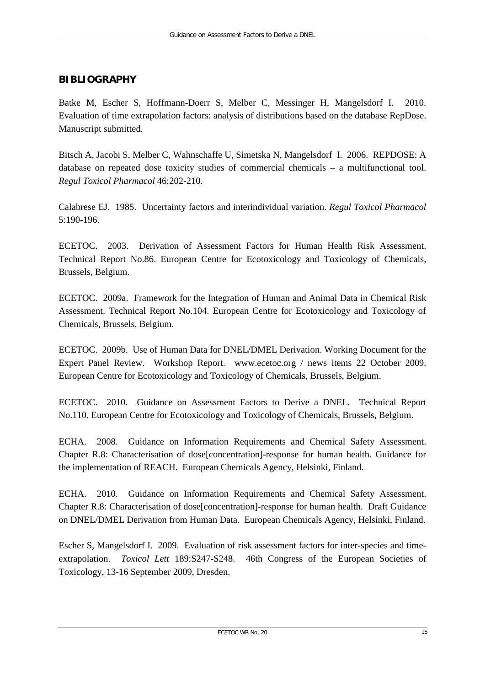# **BIBLIOGRAPHY**

Batke M, Escher S, Hoffmann-Doerr S, Melber C, Messinger H, Mangelsdorf I. 2010. Evaluation of time extrapolation factors: analysis of distributions based on the database RepDose. Manuscript submitted.

Bitsch A, Jacobi S, Melber C, Wahnschaffe U, Simetska N, Mangelsdorf I. 2006. REPDOSE: A database on repeated dose toxicity studies of commercial chemicals – a multifunctional tool. *Regul Toxicol Pharmacol* 46:202-210.

Calabrese EJ. 1985. Uncertainty factors and interindividual variation. *Regul Toxicol Pharmacol* 5:190-196.

ECETOC. 2003. Derivation of Assessment Factors for Human Health Risk Assessment. Technical Report No.86. European Centre for Ecotoxicology and Toxicology of Chemicals, Brussels, Belgium.

ECETOC. 2009a. Framework for the Integration of Human and Animal Data in Chemical Risk Assessment. Technical Report No.104. European Centre for Ecotoxicology and Toxicology of Chemicals, Brussels, Belgium.

ECETOC. 2009b. Use of Human Data for DNEL/DMEL Derivation. Working Document for the Expert Panel Review. Workshop Report. [www.ecetoc.org](http://www.ecetoc.org/) / news items 22 October 2009. European Centre for Ecotoxicology and Toxicology of Chemicals, Brussels, Belgium.

ECETOC. 2010. Guidance on Assessment Factors to Derive a DNEL. Technical Report No.110. European Centre for Ecotoxicology and Toxicology of Chemicals, Brussels, Belgium.

ECHA. 2008. Guidance on Information Requirements and Chemical Safety Assessment. Chapter R.8: Characterisation of dose[concentration]-response for human health. Guidance for the implementation of REACH. European Chemicals Agency*,* Helsinki, Finland.

ECHA. 2010. Guidance on Information Requirements and Chemical Safety Assessment. Chapter R.8: Characterisation of dose[concentration]-response for human health. Draft Guidance on DNEL/DMEL Derivation from Human Data. European Chemicals Agency, Helsinki, Finland.

Escher S, Mangelsdorf I. 2009. Evaluation of risk assessment factors for inter-species and timeextrapolation. *Toxicol Lett* 189:S247-S248. 46th Congress of the European Societies of Toxicology, 13-16 September 2009, Dresden.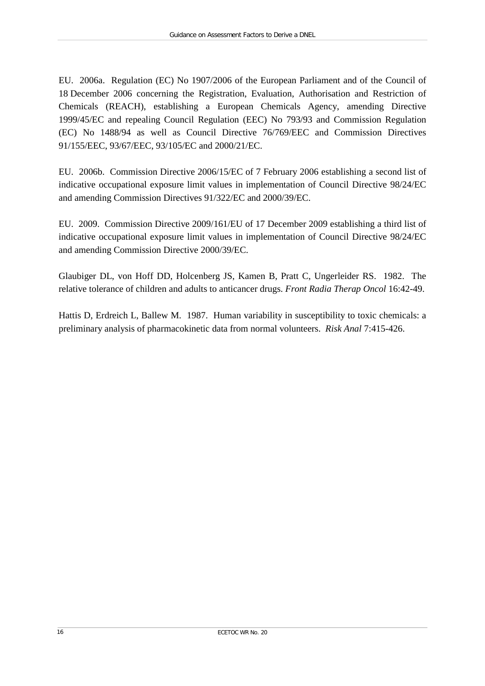EU. 2006a. Regulation (EC) No 1907/2006 of the European Parliament and of the Council of 18 December 2006 concerning the Registration, Evaluation, Authorisation and Restriction of Chemicals (REACH), establishing a European Chemicals Agency, amending Directive 1999/45/EC and repealing Council Regulation (EEC) No 793/93 and Commission Regulation (EC) No 1488/94 as well as Council Directive 76/769/EEC and Commission Directives 91/155/EEC, 93/67/EEC, 93/105/EC and 2000/21/EC.

EU. 2006b. Commission Directive 2006/15/EC of 7 February 2006 establishing a second list of indicative occupational exposure limit values in implementation of Council Directive 98/24/EC and amending Commission Directives 91/322/EC and 2000/39/EC.

EU. 2009. Commission Directive 2009/161/EU of 17 December 2009 establishing a third list of indicative occupational exposure limit values in implementation of Council Directive 98/24/EC and amending Commission Directive 2000/39/EC.

Glaubiger DL, von Hoff DD, Holcenberg JS, Kamen B, Pratt C, Ungerleider RS. 1982. The relative tolerance of children and adults to anticancer drugs. *Front Radia Therap Oncol* 16:42-49.

Hattis D, Erdreich L, Ballew M. 1987. Human variability in susceptibility to toxic chemicals: a preliminary analysis of pharmacokinetic data from normal volunteers. *Risk Anal* 7:415-426.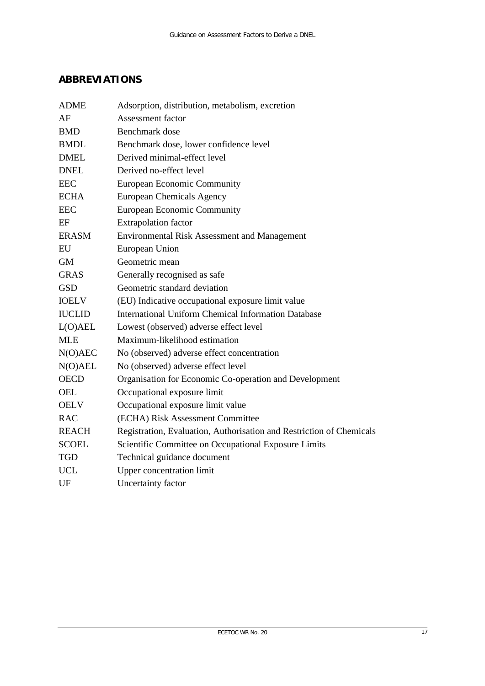# <span id="page-22-0"></span>**ABBREVIATIONS**

| <b>ADME</b>   | Adsorption, distribution, metabolism, excretion                      |
|---------------|----------------------------------------------------------------------|
| AF            | <b>Assessment factor</b>                                             |
| <b>BMD</b>    | Benchmark dose                                                       |
| <b>BMDL</b>   | Benchmark dose, lower confidence level                               |
| <b>DMEL</b>   | Derived minimal-effect level                                         |
| <b>DNEL</b>   | Derived no-effect level                                              |
| <b>EEC</b>    | <b>European Economic Community</b>                                   |
| <b>ECHA</b>   | <b>European Chemicals Agency</b>                                     |
| $\rm{EEC}$    | <b>European Economic Community</b>                                   |
| EF            | <b>Extrapolation</b> factor                                          |
| <b>ERASM</b>  | Environmental Risk Assessment and Management                         |
| EU            | European Union                                                       |
| <b>GM</b>     | Geometric mean                                                       |
| <b>GRAS</b>   | Generally recognised as safe                                         |
| <b>GSD</b>    | Geometric standard deviation                                         |
| <b>IOELV</b>  | (EU) Indicative occupational exposure limit value                    |
| <b>IUCLID</b> | <b>International Uniform Chemical Information Database</b>           |
| L(O)AEL       | Lowest (observed) adverse effect level                               |
| <b>MLE</b>    | Maximum-likelihood estimation                                        |
| N(O)AEC       | No (observed) adverse effect concentration                           |
| N(O)AEL       | No (observed) adverse effect level                                   |
| <b>OECD</b>   | Organisation for Economic Co-operation and Development               |
| <b>OEL</b>    | Occupational exposure limit                                          |
| <b>OELV</b>   | Occupational exposure limit value                                    |
| <b>RAC</b>    | (ECHA) Risk Assessment Committee                                     |
| <b>REACH</b>  | Registration, Evaluation, Authorisation and Restriction of Chemicals |
| <b>SCOEL</b>  | Scientific Committee on Occupational Exposure Limits                 |
| <b>TGD</b>    | Technical guidance document                                          |
| <b>UCL</b>    | <b>Upper concentration limit</b>                                     |
| UF            | Uncertainty factor                                                   |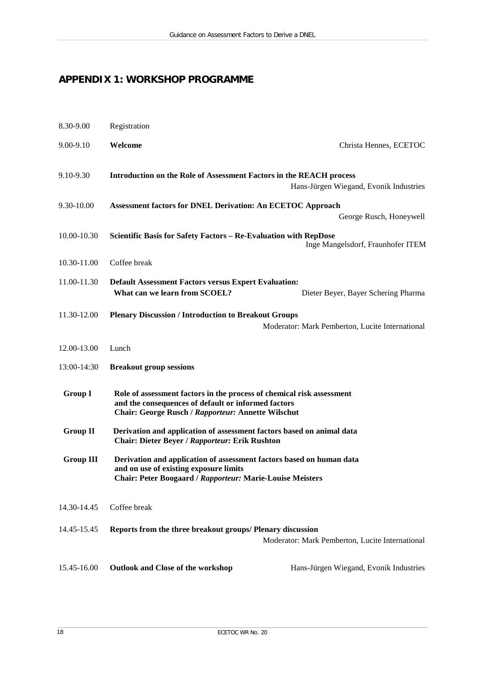# <span id="page-23-0"></span>**APPENDIX 1: WORKSHOP PROGRAMME**

| 8.30-9.00        | Registration                                                                                                                                                                       |                                                 |  |  |
|------------------|------------------------------------------------------------------------------------------------------------------------------------------------------------------------------------|-------------------------------------------------|--|--|
| 9.00-9.10        | Welcome                                                                                                                                                                            | Christa Hennes, ECETOC                          |  |  |
| 9.10-9.30        | <b>Introduction on the Role of Assessment Factors in the REACH process</b>                                                                                                         | Hans-Jürgen Wiegand, Evonik Industries          |  |  |
| 9.30-10.00       | <b>Assessment factors for DNEL Derivation: An ECETOC Approach</b>                                                                                                                  | George Rusch, Honeywell                         |  |  |
| 10.00-10.30      | Scientific Basis for Safety Factors - Re-Evaluation with RepDose<br>Inge Mangelsdorf, Fraunhofer ITEM                                                                              |                                                 |  |  |
| 10.30-11.00      | Coffee break                                                                                                                                                                       |                                                 |  |  |
| 11.00-11.30      | <b>Default Assessment Factors versus Expert Evaluation:</b><br>What can we learn from SCOEL?                                                                                       | Dieter Beyer, Bayer Schering Pharma             |  |  |
| 11.30-12.00      | <b>Plenary Discussion / Introduction to Breakout Groups</b>                                                                                                                        | Moderator: Mark Pemberton, Lucite International |  |  |
| 12.00-13.00      | Lunch                                                                                                                                                                              |                                                 |  |  |
| 13:00-14:30      | <b>Breakout group sessions</b>                                                                                                                                                     |                                                 |  |  |
| <b>Group I</b>   | Role of assessment factors in the process of chemical risk assessment<br>and the consequences of default or informed factors<br>Chair: George Rusch / Rapporteur: Annette Wilschut |                                                 |  |  |
| <b>Group II</b>  | Derivation and application of assessment factors based on animal data<br><b>Chair: Dieter Beyer / Rapporteur: Erik Rushton</b>                                                     |                                                 |  |  |
| <b>Group III</b> | Derivation and application of assessment factors based on human data<br>and on use of existing exposure limits<br><b>Chair: Peter Boogaard / Rapporteur: Marie-Louise Meisters</b> |                                                 |  |  |
| 14.30-14.45      | Coffee break                                                                                                                                                                       |                                                 |  |  |
| 14.45-15.45      | Reports from the three breakout groups/ Plenary discussion                                                                                                                         | Moderator: Mark Pemberton, Lucite International |  |  |
| 15.45-16.00      | <b>Outlook and Close of the workshop</b>                                                                                                                                           | Hans-Jürgen Wiegand, Evonik Industries          |  |  |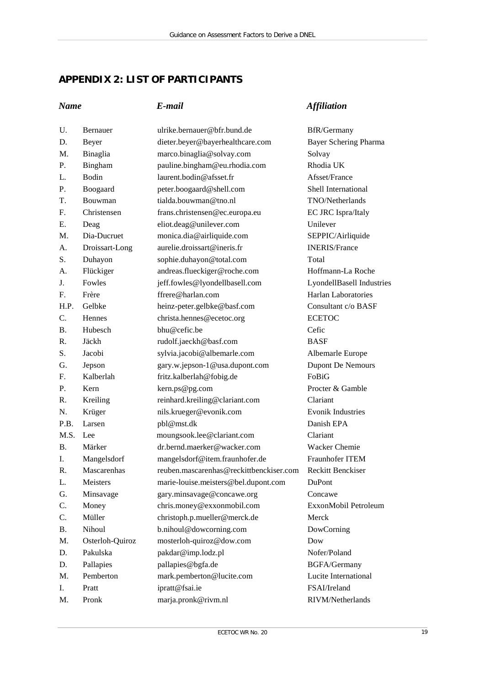# <span id="page-24-0"></span>**APPENDIX 2: LIST OF PARTICIPANTS**

# *Name E-mail Affiliation*

| U.        | Bernauer        | ulrike.bernauer@bfr.bund.de             | <b>BfR/Germany</b>         |
|-----------|-----------------|-----------------------------------------|----------------------------|
| D.        | Beyer           | dieter.beyer@bayerhealthcare.com        | Bayer Schering Pharma      |
| M.        | Binaglia        | marco.binaglia@solvay.com               | Solvay                     |
| Ρ.        | Bingham         | pauline.bingham@eu.rhodia.com           | Rhodia UK                  |
| L.        | Bodin           | laurent.bodin@afsset.fr                 | Afsset/France              |
| Ρ.        | Boogaard        | peter.boogaard@shell.com                | Shell International        |
| T.        | Bouwman         | tialda.bouwman@tno.nl                   | TNO/Netherlands            |
| F.        | Christensen     | frans.christensen@ec.europa.eu          | EC JRC Ispra/Italy         |
| Ε.        | Deag            | eliot.deag@unilever.com                 | Unilever                   |
| M.        | Dia-Ducruet     | monica.dia@airliquide.com               | SEPPIC/Airliquide          |
| А.        | Droissart-Long  | aurelie.droissart@ineris.fr             | <b>INERIS/France</b>       |
| S.        | Duhayon         | sophie.duhayon@total.com                | Total                      |
| A.        | Flückiger       | andreas.flueckiger@roche.com            | Hoffmann-La Roche          |
| J.        | Fowles          | jeff.fowles@lyondellbasell.com          | LyondellBasell Industries  |
| F.        | Frère           | ffrere@harlan.com                       | <b>Harlan Laboratories</b> |
| H.P.      | Gelbke          | heinz-peter.gelbke@basf.com             | Consultant c/o BASF        |
| C.        | Hennes          | christa.hennes@ecetoc.org               | <b>ECETOC</b>              |
| <b>B.</b> | Hubesch         | bhu@cefic.be                            | Cefic                      |
| R.        | Jäckh           | rudolf.jaeckh@basf.com                  | <b>BASE</b>                |
| S.        | Jacobi          | sylvia.jacobi@albemarle.com             | Albemarle Europe           |
| G.        | Jepson          | gary.w.jepson-1@usa.dupont.com          | <b>Dupont De Nemours</b>   |
| F.        | Kalberlah       | fritz.kalberlah@fobig.de                | FoBiG                      |
| Ρ.        | Kern            | kern.ps@pg.com                          | Procter & Gamble           |
| R.        | Kreiling        | reinhard.kreiling@clariant.com          | Clariant                   |
| N.        | Krüger          | nils.krueger@evonik.com                 | <b>Evonik Industries</b>   |
| P.B.      | Larsen          | pbl@mst.dk                              | Danish EPA                 |
| M.S.      | Lee             | moungsook.lee@clariant.com              | Clariant                   |
| <b>B.</b> | Märker          | dr.bernd.maerker@wacker.com             | Wacker Chemie              |
| I.        | Mangelsdorf     | mangelsdorf@item.fraunhofer.de          | Fraunhofer ITEM            |
| R.        | Mascarenhas     | reuben.mascarenhas@reckittbenckiser.com | <b>Reckitt Benckiser</b>   |
| L.        | Meisters        | marie-louise.meisters@bel.dupont.com    | DuPont                     |
| G.        | Minsavage       | gary.minsavage@concawe.org              | Concawe                    |
| C.        | Money           | chris.money@exxonmobil.com              | ExxonMobil Petroleum       |
| C.        | Müller          | christoph.p.mueller@merck.de            | Merck                      |
| Β.        | Nihoul          | b.nihoul@dowcorning.com                 | DowCorning                 |
| M.        | Osterloh-Quiroz | mosterloh-quiroz@dow.com                | Dow                        |
| D.        | Pakulska        | pakdar@imp.lodz.pl                      | Nofer/Poland               |
| D.        | Pallapies       | pallapies@bgfa.de                       | <b>BGFA/Germany</b>        |
| M.        | Pemberton       | mark.pemberton@lucite.com               | Lucite International       |
| I.        | Pratt           | ipratt@fsai.ie                          | FSAI/Ireland               |
| M.        | Pronk           | marja.pronk@rivm.nl                     | RIVM/Netherlands           |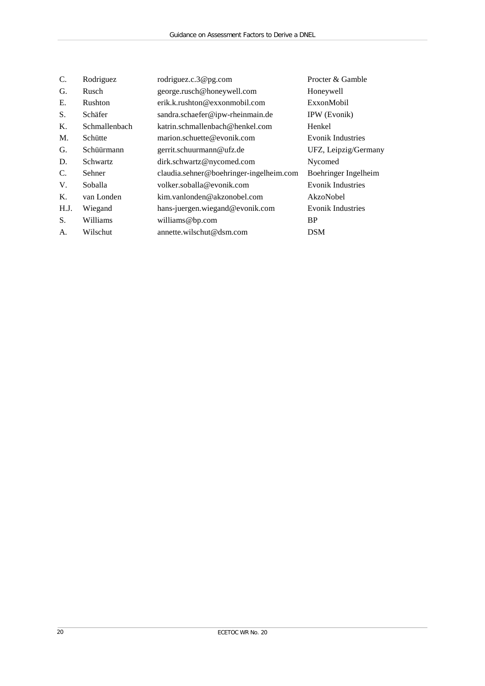| C.   | Rodriguez       | rodriguez.c.3@pg.com                    | Procter & Gamble         |
|------|-----------------|-----------------------------------------|--------------------------|
| G.   | Rusch           | george.rusch@honeywell.com              | Honeywell                |
| Е.   | Rushton         | erik.k.rushton@exxonmobil.com           | ExxonMobil               |
| S.   | Schäfer         | sandra.schaefer@ipw-rheinmain.de        | IPW (Evonik)             |
| Κ.   | Schmallenbach   | katrin.schmallenbach@henkel.com         | Henkel                   |
| M.   | Schütte         | marion.schuette@evonik.com              | <b>Evonik Industries</b> |
| G.   | Schüürmann      | gerrit.schuurmann@ufz.de                | UFZ, Leipzig/Germany     |
| D.   | <b>Schwartz</b> | dirk.schwartz@nycomed.com               | Nycomed                  |
| C.   | Sehner          | claudia.sehner@boehringer-ingelheim.com | Boehringer Ingelheim     |
| V.   | Soballa         | volker.soballa@evonik.com               | <b>Evonik Industries</b> |
| Κ.   | van Londen      | kim.vanlonden@akzonobel.com             | AkzoNobel                |
| H.J. | Wiegand         | hans-juergen.wiegand@evonik.com         | <b>Evonik Industries</b> |
| S.   | Williams        | williams@bp.com                         | <b>BP</b>                |
| А.   | Wilschut        | annette.wilschut@dsm.com                | <b>DSM</b>               |
|      |                 |                                         |                          |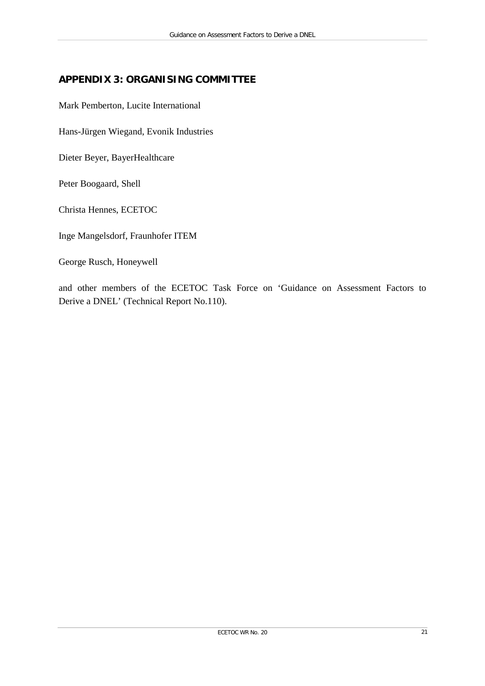# <span id="page-26-0"></span>**APPENDIX 3: ORGANISING COMMITTEE**

Mark Pemberton, Lucite International

Hans-Jürgen Wiegand, Evonik Industries

Dieter Beyer, BayerHealthcare

Peter Boogaard, Shell

Christa Hennes, ECETOC

Inge Mangelsdorf, Fraunhofer ITEM

George Rusch, Honeywell

and other members of the ECETOC Task Force on 'Guidance on Assessment Factors to Derive a DNEL' (Technical Report No.110).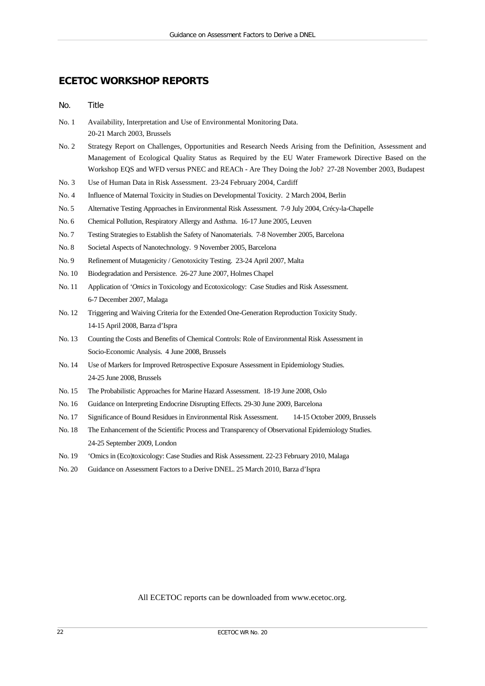# **ECETOC WORKSHOP REPORTS**

No. Title

- No. 1 Availability, Interpretation and Use of Environmental Monitoring Data. 20-21 March 2003, Brussels
- No. 2 Strategy Report on Challenges, Opportunities and Research Needs Arising from the Definition, Assessment and Management of Ecological Quality Status as Required by the EU Water Framework Directive Based on the Workshop EQS and WFD versus PNEC and REACh - Are They Doing the Job? 27-28 November 2003, Budapest
- No. 3 Use of Human Data in Risk Assessment. 23-24 February 2004, Cardiff
- No. 4 Influence of Maternal Toxicity in Studies on Developmental Toxicity. 2 March 2004, Berlin
- No. 5 Alternative Testing Approaches in Environmental Risk Assessment. 7-9 July 2004, Crécy-la-Chapelle
- No. 6 Chemical Pollution, Respiratory Allergy and Asthma. 16-17 June 2005, Leuven
- No. 7 Testing Strategies to Establish the Safety of Nanomaterials. 7-8 November 2005, Barcelona
- No. 8 Societal Aspects of Nanotechnology. 9 November 2005, Barcelona
- No. 9 Refinement of Mutagenicity / Genotoxicity Testing. 23-24 April 2007, Malta
- No. 10 Biodegradation and Persistence. 26-27 June 2007, Holmes Chapel
- No. 11 Application of *'Omics* in Toxicology and Ecotoxicology: Case Studies and Risk Assessment. 6-7 December 2007, Malaga
- No. 12 Triggering and Waiving Criteria for the Extended One-Generation Reproduction Toxicity Study. 14-15 April 2008, Barza d'Ispra
- No. 13 Counting the Costs and Benefits of Chemical Controls: Role of Environmental Risk Assessment in Socio-Economic Analysis. 4 June 2008, Brussels
- No. 14 Use of Markers for Improved Retrospective Exposure Assessment in Epidemiology Studies. 24-25 June 2008, Brussels
- No. 15 The Probabilistic Approaches for Marine Hazard Assessment. 18-19 June 2008, Oslo
- No. 16 Guidance on Interpreting Endocrine Disrupting Effects. 29-30 June 2009, Barcelona
- No. 17 Significance of Bound Residues in Environmental Risk Assessment. 14-15 October 2009, Brussels
- No. 18 The Enhancement of the Scientific Process and Transparency of Observational Epidemiology Studies. 24-25 September 2009, London
- No. 19 'Omics in (Eco)toxicology: Case Studies and Risk Assessment. 22-23 February 2010, Malaga
- No. 20 Guidance on Assessment Factors to a Derive DNEL. 25 March 2010, Barza d'Ispra

All ECETOC reports can be downloaded from [www.ecetoc.org.](http://www.ecetoc.org/)